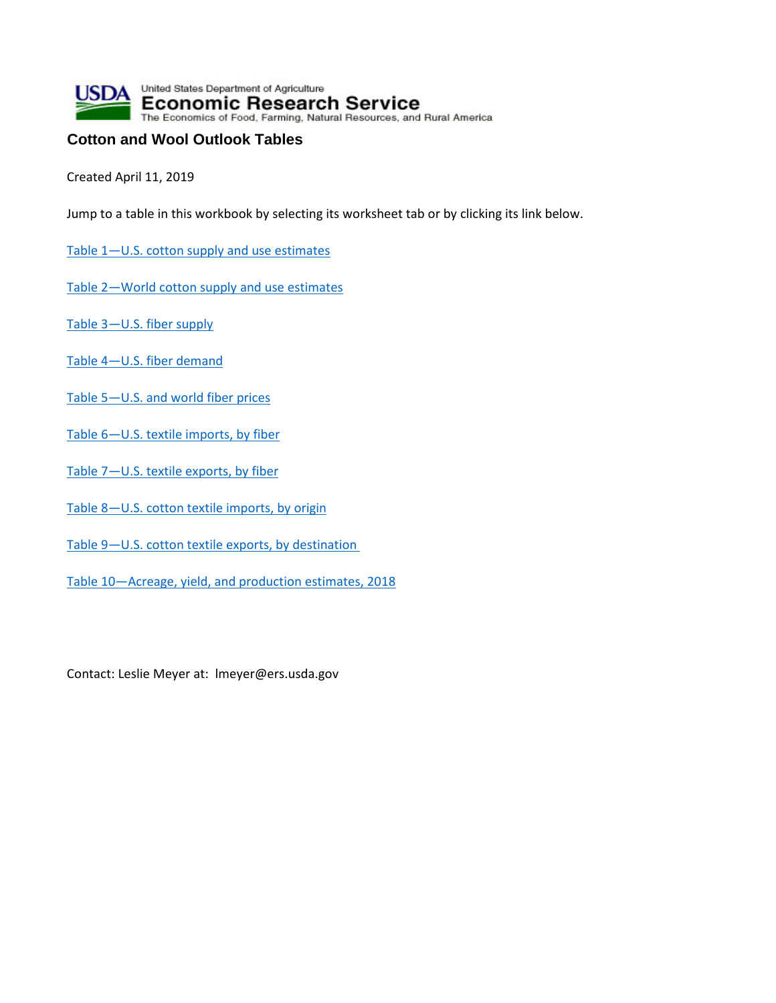

## **Cotton and Wool Outlook Tables**

Created April 11, 2019

Jump to a table in this workbook by selecting its worksheet tab or by clicking its link below.

- [Table 1—U.S. cotton supply and use estimates](#page-1-0)
- [Table 2—World cotton supply and use estimates](#page-2-0)
- [Table 3—U.S. fiber supply](#page-3-0)
- [Table 4—U.S. fiber demand](#page-4-0)
- [Table 5—U.S. and world fiber prices](#page-5-0)
- Table 6-U.S. textile imports, by fiber
- [Table 7—U.S. textile exports, by fiber](#page-7-0)
- [Table 8—U.S. cotton textile imports, by origin](#page-8-0)
- [Table 9—U.S. cotton textile exports, by destination](#page-9-0)
- [Table 10—Acreage, yield, and production estimates, 2018](#page-10-0)

Contact: Leslie Meyer at: lmeyer@ers.usda.gov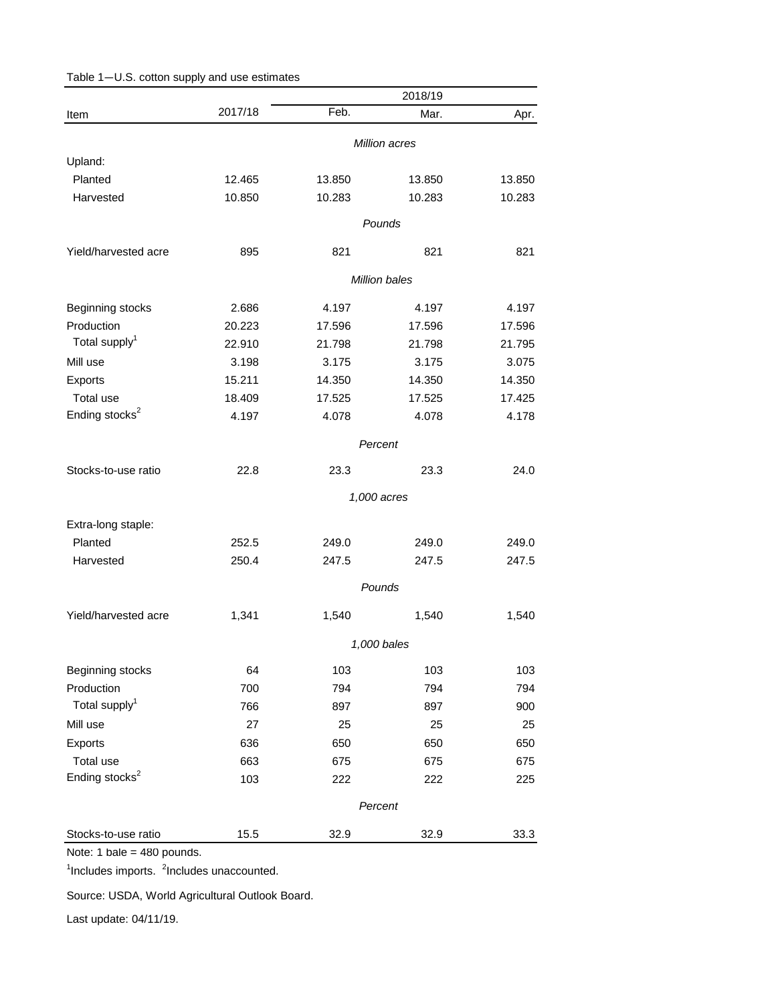|                            |         |        | 2018/19       |        |
|----------------------------|---------|--------|---------------|--------|
| Item                       | 2017/18 | Feb.   | Mar.          | Apr.   |
|                            |         |        | Million acres |        |
| Upland:                    |         |        |               |        |
| Planted                    | 12.465  | 13.850 | 13.850        | 13.850 |
| Harvested                  | 10.850  | 10.283 | 10.283        | 10.283 |
|                            |         |        | Pounds        |        |
| Yield/harvested acre       | 895     | 821    | 821           | 821    |
|                            |         |        | Million bales |        |
| Beginning stocks           | 2.686   | 4.197  | 4.197         | 4.197  |
| Production                 | 20.223  | 17.596 | 17.596        | 17.596 |
| Total supply <sup>1</sup>  | 22.910  | 21.798 | 21.798        | 21.795 |
| Mill use                   | 3.198   | 3.175  | 3.175         | 3.075  |
| Exports                    | 15.211  | 14.350 | 14.350        | 14.350 |
| Total use                  | 18.409  | 17.525 | 17.525        | 17.425 |
| Ending stocks <sup>2</sup> | 4.197   | 4.078  | 4.078         | 4.178  |
|                            |         |        | Percent       |        |
| Stocks-to-use ratio        | 22.8    | 23.3   | 23.3          | 24.0   |
|                            |         |        | 1,000 acres   |        |
| Extra-long staple:         |         |        |               |        |
| Planted                    | 252.5   | 249.0  | 249.0         | 249.0  |
| Harvested                  | 250.4   | 247.5  | 247.5         | 247.5  |
|                            |         |        | Pounds        |        |
| Yield/harvested acre       | 1,341   | 1,540  | 1,540         | 1,540  |
|                            |         |        | 1,000 bales   |        |
| Beginning stocks           | 64      | 103    | 103           | 103    |
| Production                 | 700     | 794    | 794           | 794    |
| Total supply <sup>1</sup>  | 766     | 897    | 897           | 900    |
| Mill use                   | 27      | 25     | 25            | 25     |
| Exports                    | 636     | 650    | 650           | 650    |
| Total use                  | 663     | 675    | 675           | 675    |
| Ending stocks <sup>2</sup> | 103     | 222    | 222           | 225    |
|                            |         |        | Percent       |        |
| Stocks-to-use ratio        | 15.5    | 32.9   | 32.9          | 33.3   |

## <span id="page-1-0"></span>Table 1—U.S. cotton supply and use estimates

Note: 1 bale = 480 pounds.

<sup>1</sup>Includes imports. <sup>2</sup>Includes unaccounted.

Source: USDA, World Agricultural Outlook Board.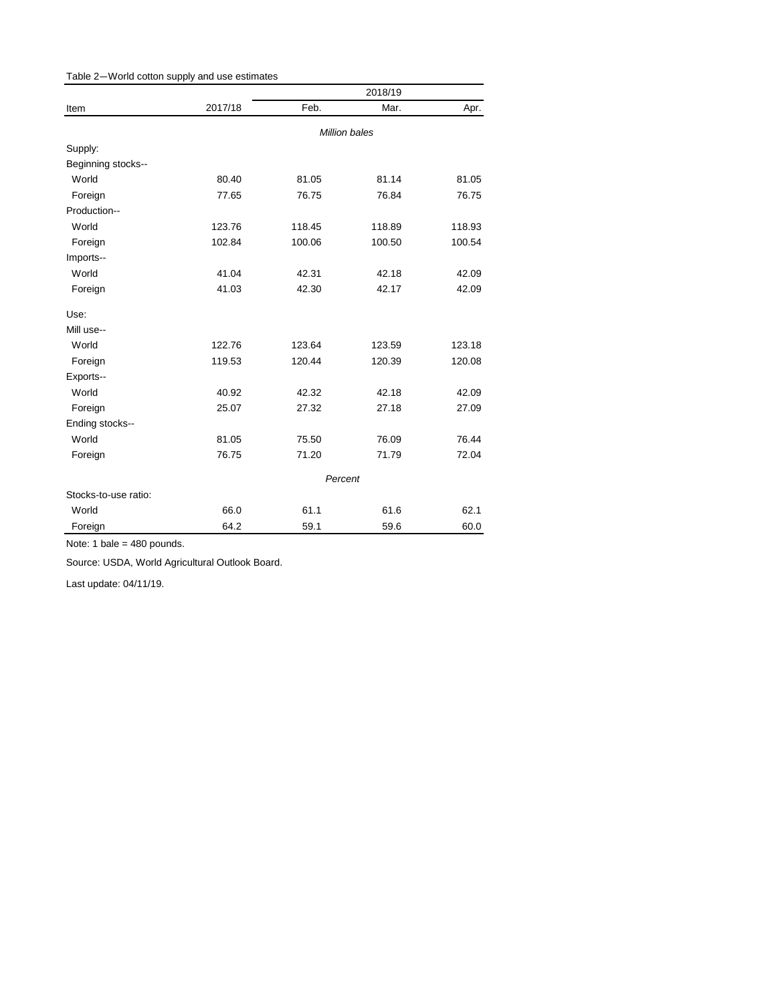<span id="page-2-0"></span>

| Table 2-World cotton supply and use estimates |  |  |
|-----------------------------------------------|--|--|
|-----------------------------------------------|--|--|

|                      |                      | 2018/19 |        |        |  |
|----------------------|----------------------|---------|--------|--------|--|
| Item                 | 2017/18              | Feb.    | Mar.   | Apr.   |  |
|                      | <b>Million bales</b> |         |        |        |  |
| Supply:              |                      |         |        |        |  |
| Beginning stocks--   |                      |         |        |        |  |
| World                | 80.40                | 81.05   | 81.14  | 81.05  |  |
| Foreign              | 77.65                | 76.75   | 76.84  | 76.75  |  |
| Production--         |                      |         |        |        |  |
| World                | 123.76               | 118.45  | 118.89 | 118.93 |  |
| Foreign              | 102.84               | 100.06  | 100.50 | 100.54 |  |
| Imports--            |                      |         |        |        |  |
| World                | 41.04                | 42.31   | 42.18  | 42.09  |  |
| Foreign              | 41.03                | 42.30   | 42.17  | 42.09  |  |
| Use:                 |                      |         |        |        |  |
| Mill use--           |                      |         |        |        |  |
| World                | 122.76               | 123.64  | 123.59 | 123.18 |  |
| Foreign              | 119.53               | 120.44  | 120.39 | 120.08 |  |
| Exports--            |                      |         |        |        |  |
| World                | 40.92                | 42.32   | 42.18  | 42.09  |  |
| Foreign              | 25.07                | 27.32   | 27.18  | 27.09  |  |
| Ending stocks--      |                      |         |        |        |  |
| World                | 81.05                | 75.50   | 76.09  | 76.44  |  |
| Foreign              | 76.75                | 71.20   | 71.79  | 72.04  |  |
|                      | Percent              |         |        |        |  |
| Stocks-to-use ratio: |                      |         |        |        |  |
| World                | 66.0                 | 61.1    | 61.6   | 62.1   |  |
| Foreign              | 64.2                 | 59.1    | 59.6   | 60.0   |  |

Note: 1 bale = 480 pounds.

Source: USDA, World Agricultural Outlook Board.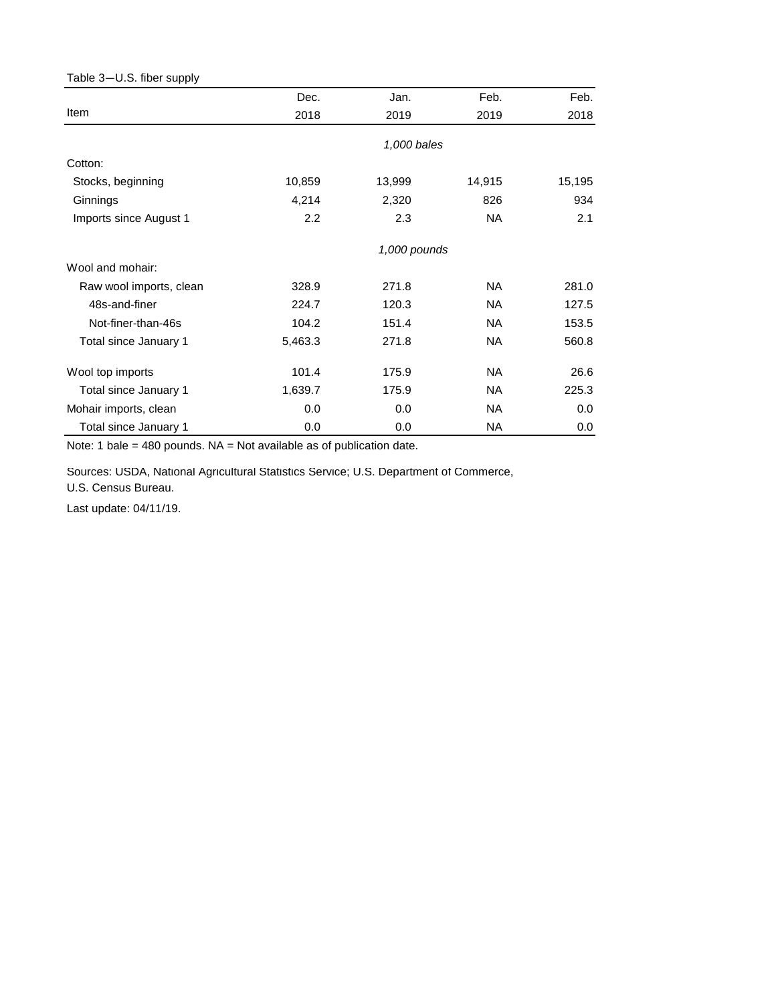## <span id="page-3-0"></span>Table 3—U.S. fiber supply

|                         | Dec.    | Jan.         | Feb.      | Feb.   |
|-------------------------|---------|--------------|-----------|--------|
| Item                    | 2018    | 2019         | 2019      | 2018   |
|                         |         | 1,000 bales  |           |        |
| Cotton:                 |         |              |           |        |
| Stocks, beginning       | 10,859  | 13,999       | 14,915    | 15,195 |
| Ginnings                | 4,214   | 2,320        | 826       | 934    |
| Imports since August 1  | 2.2     | 2.3          | NA        | 2.1    |
|                         |         | 1,000 pounds |           |        |
| Wool and mohair:        |         |              |           |        |
| Raw wool imports, clean | 328.9   | 271.8        | NA.       | 281.0  |
| 48s-and-finer           | 224.7   | 120.3        | <b>NA</b> | 127.5  |
| Not-finer-than-46s      | 104.2   | 151.4        | <b>NA</b> | 153.5  |
| Total since January 1   | 5,463.3 | 271.8        | NA.       | 560.8  |
| Wool top imports        | 101.4   | 175.9        | NА        | 26.6   |
| Total since January 1   | 1,639.7 | 175.9        | NA.       | 225.3  |
| Mohair imports, clean   | 0.0     | 0.0          | <b>NA</b> | 0.0    |
| Total since January 1   | 0.0     | 0.0          | NA        | 0.0    |

Note: 1 bale = 480 pounds. NA = Not available as of publication date.

Sources: USDA, National Agricultural Statistics Service; U.S. Department of Commerce,

U.S. Census Bureau.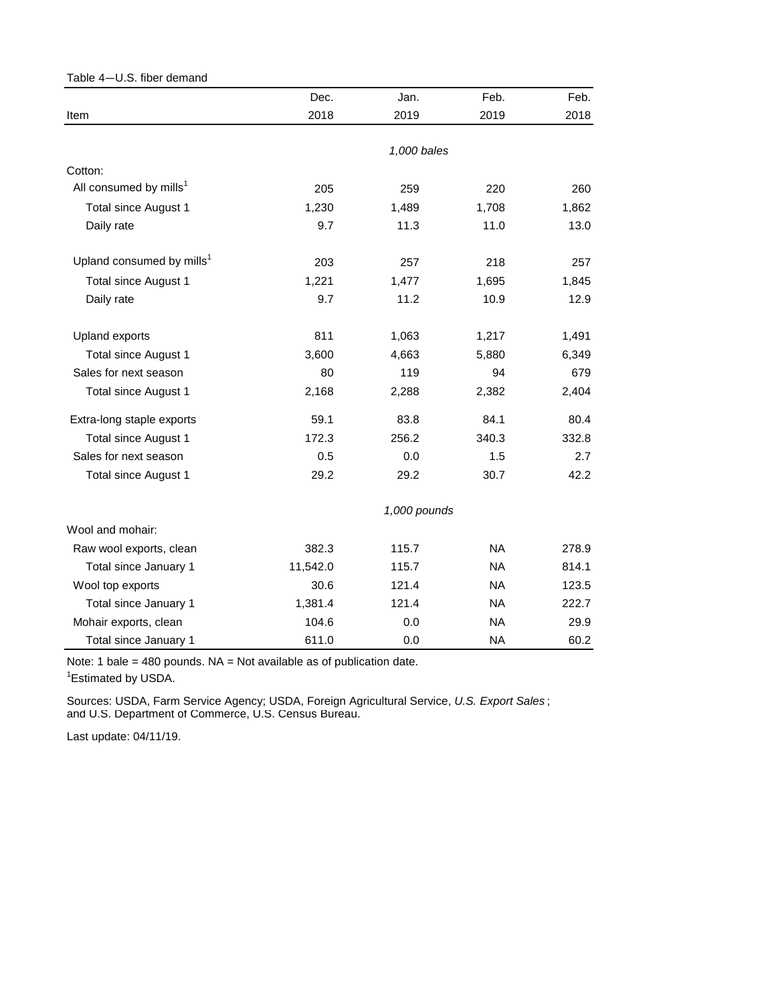<span id="page-4-0"></span>

| Table 4-U.S. fiber demand             |          |              |           |       |
|---------------------------------------|----------|--------------|-----------|-------|
|                                       | Dec.     | Jan.         | Feb.      | Feb.  |
| Item                                  | 2018     | 2019         | 2019      | 2018  |
|                                       |          |              |           |       |
|                                       |          | 1,000 bales  |           |       |
| Cotton:                               |          |              |           |       |
| All consumed by mills <sup>1</sup>    | 205      | 259          | 220       | 260   |
| Total since August 1                  | 1,230    | 1,489        | 1,708     | 1,862 |
| Daily rate                            | 9.7      | 11.3         | 11.0      | 13.0  |
| Upland consumed by mills <sup>1</sup> | 203      | 257          | 218       | 257   |
| <b>Total since August 1</b>           | 1,221    | 1,477        | 1,695     | 1,845 |
| Daily rate                            | 9.7      | 11.2         | 10.9      | 12.9  |
| Upland exports                        | 811      | 1,063        | 1,217     | 1,491 |
| Total since August 1                  | 3,600    | 4,663        | 5,880     | 6,349 |
| Sales for next season                 | 80       | 119          | 94        | 679   |
| Total since August 1                  | 2,168    | 2,288        | 2,382     | 2,404 |
| Extra-long staple exports             | 59.1     | 83.8         | 84.1      | 80.4  |
| <b>Total since August 1</b>           | 172.3    | 256.2        | 340.3     | 332.8 |
| Sales for next season                 | 0.5      | 0.0          | 1.5       | 2.7   |
| Total since August 1                  | 29.2     | 29.2         | 30.7      | 42.2  |
|                                       |          | 1,000 pounds |           |       |
| Wool and mohair:                      |          |              |           |       |
| Raw wool exports, clean               | 382.3    | 115.7        | <b>NA</b> | 278.9 |
| Total since January 1                 | 11,542.0 | 115.7        | NA.       | 814.1 |
| Wool top exports                      | 30.6     | 121.4        | <b>NA</b> | 123.5 |
| Total since January 1                 | 1,381.4  | 121.4        | NA.       | 222.7 |
| Mohair exports, clean                 | 104.6    | 0.0          | <b>NA</b> | 29.9  |
| Total since January 1                 | 611.0    | 0.0          | <b>NA</b> | 60.2  |

Note: 1 bale = 480 pounds. NA = Not available as of publication date.

<sup>1</sup> Estimated by USDA.

and U.S. Department of Commerce, U.S. Census Bureau. Sources: USDA, Farm Service Agency; USDA, Foreign Agricultural Service, *U.S. Export Sales* ;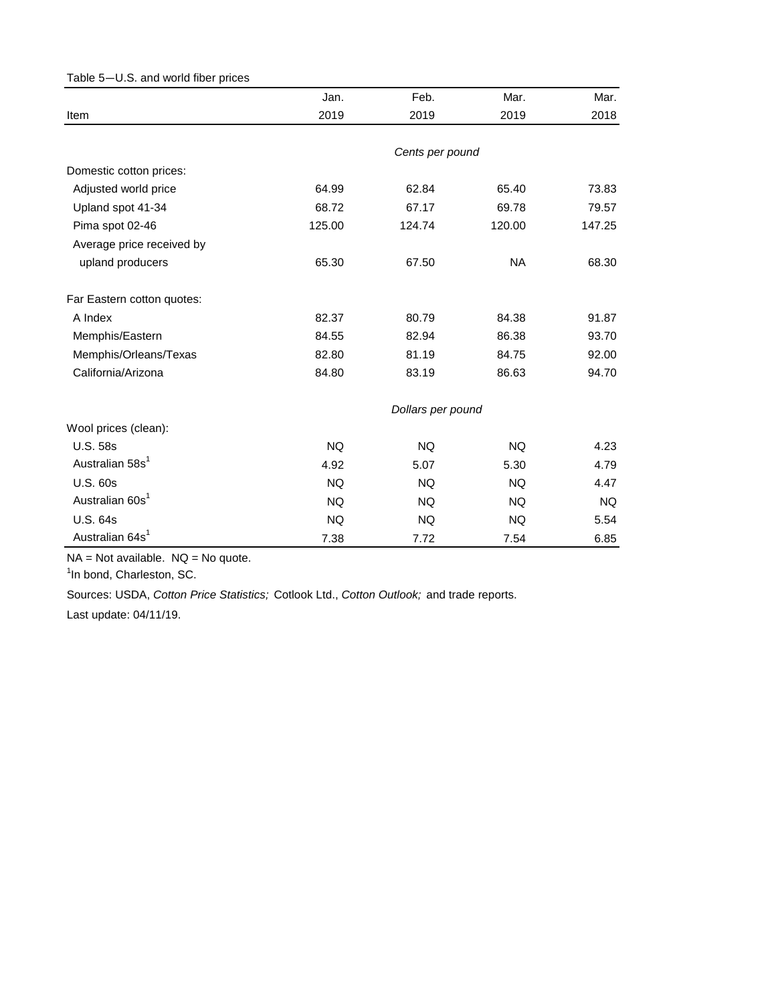<span id="page-5-0"></span>

| Table 5-U.S. and world fiber prices |           |                   |           |        |
|-------------------------------------|-----------|-------------------|-----------|--------|
|                                     | Jan.      | Feb.              | Mar.      | Mar.   |
| Item                                | 2019      | 2019              | 2019      | 2018   |
|                                     |           | Cents per pound   |           |        |
| Domestic cotton prices:             |           |                   |           |        |
| Adjusted world price                | 64.99     | 62.84             | 65.40     | 73.83  |
| Upland spot 41-34                   | 68.72     | 67.17             | 69.78     | 79.57  |
| Pima spot 02-46                     | 125.00    | 124.74            | 120.00    | 147.25 |
| Average price received by           |           |                   |           |        |
| upland producers                    | 65.30     | 67.50             | <b>NA</b> | 68.30  |
| Far Eastern cotton quotes:          |           |                   |           |        |
| A Index                             | 82.37     | 80.79             | 84.38     | 91.87  |
| Memphis/Eastern                     | 84.55     | 82.94             | 86.38     | 93.70  |
| Memphis/Orleans/Texas               | 82.80     | 81.19             | 84.75     | 92.00  |
| California/Arizona                  | 84.80     | 83.19             | 86.63     | 94.70  |
|                                     |           | Dollars per pound |           |        |
| Wool prices (clean):                |           |                   |           |        |
| <b>U.S. 58s</b>                     | <b>NQ</b> | <b>NQ</b>         | <b>NQ</b> | 4.23   |
| Australian 58s <sup>1</sup>         | 4.92      | 5.07              | 5.30      | 4.79   |
| <b>U.S. 60s</b>                     | <b>NQ</b> | <b>NQ</b>         | <b>NQ</b> | 4.47   |
| Australian 60s <sup>1</sup>         | <b>NQ</b> | <b>NQ</b>         | <b>NQ</b> | NQ.    |
| <b>U.S. 64s</b>                     | <b>NQ</b> | <b>NQ</b>         | NQ.       | 5.54   |
| Australian 64s <sup>1</sup>         | 7.38      | 7.72              | 7.54      | 6.85   |

 $NA = Not available.$   $NQ = No$  quote.

<sup>1</sup>In bond, Charleston, SC.

Sources: USDA, *Cotton Price Statistics;* Cotlook Ltd., *Cotton Outlook;* and trade reports.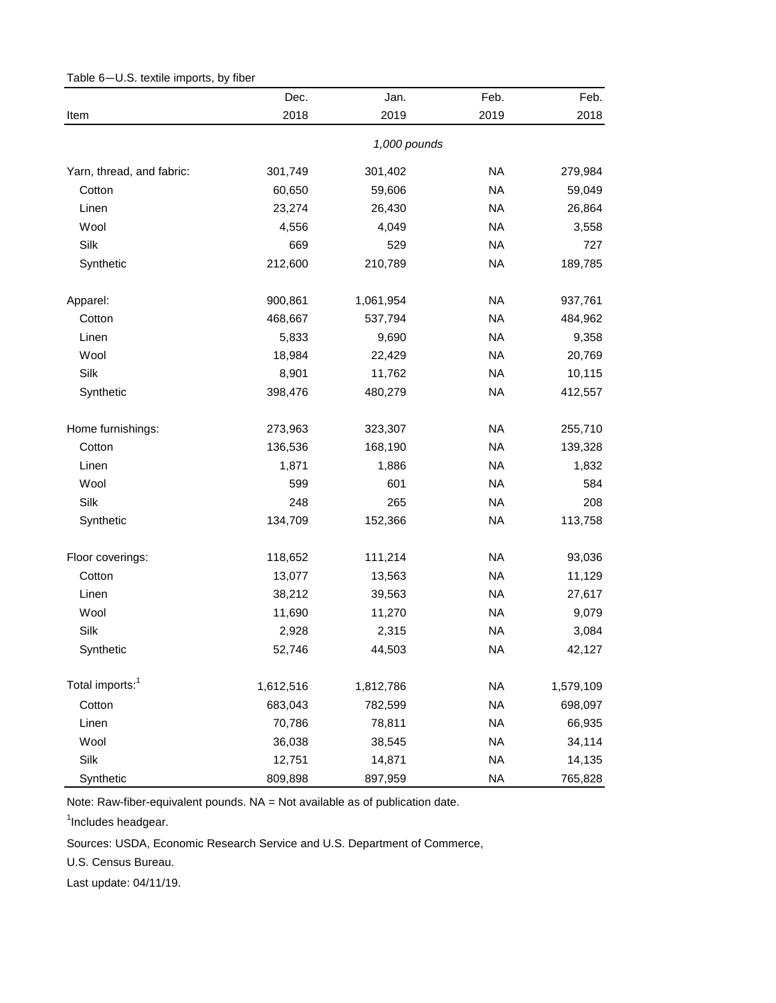|                             | Dec.      | Jan.         | Feb.      | Feb.      |
|-----------------------------|-----------|--------------|-----------|-----------|
| Item                        | 2018      | 2019         | 2019      | 2018      |
|                             |           | 1,000 pounds |           |           |
| Yarn, thread, and fabric:   | 301,749   | 301,402      | <b>NA</b> | 279,984   |
| Cotton                      | 60,650    | 59,606       | <b>NA</b> | 59,049    |
| Linen                       | 23,274    | 26,430       | <b>NA</b> | 26,864    |
| Wool                        | 4,556     | 4,049        | <b>NA</b> | 3,558     |
| Silk                        | 669       | 529          | <b>NA</b> | 727       |
| Synthetic                   | 212,600   | 210,789      | <b>NA</b> | 189,785   |
| Apparel:                    | 900,861   | 1,061,954    | <b>NA</b> | 937,761   |
| Cotton                      | 468,667   | 537,794      | <b>NA</b> | 484,962   |
| Linen                       | 5,833     | 9,690        | <b>NA</b> | 9,358     |
| Wool                        | 18,984    | 22,429       | <b>NA</b> | 20,769    |
| Silk                        | 8,901     | 11,762       | <b>NA</b> | 10,115    |
| Synthetic                   | 398,476   | 480,279      | <b>NA</b> | 412,557   |
| Home furnishings:           | 273,963   | 323,307      | <b>NA</b> | 255,710   |
| Cotton                      | 136,536   | 168,190      | <b>NA</b> | 139,328   |
| Linen                       | 1,871     | 1,886        | <b>NA</b> | 1,832     |
| Wool                        | 599       | 601          | <b>NA</b> | 584       |
| Silk                        | 248       | 265          | <b>NA</b> | 208       |
| Synthetic                   | 134,709   | 152,366      | <b>NA</b> | 113,758   |
| Floor coverings:            | 118,652   | 111,214      | <b>NA</b> | 93,036    |
| Cotton                      | 13,077    | 13,563       | <b>NA</b> | 11,129    |
| Linen                       | 38,212    | 39,563       | <b>NA</b> | 27,617    |
| Wool                        | 11,690    | 11,270       | <b>NA</b> | 9,079     |
| Silk                        | 2,928     | 2,315        | <b>NA</b> | 3,084     |
| Synthetic                   | 52,746    | 44,503       | <b>NA</b> | 42,127    |
| Total imports: <sup>1</sup> | 1,612,516 | 1,812,786    | <b>NA</b> | 1,579,109 |
| Cotton                      | 683,043   | 782,599      | <b>NA</b> | 698,097   |
| Linen                       | 70,786    | 78,811       | <b>NA</b> | 66,935    |
| Wool                        | 36,038    | 38,545       | <b>NA</b> | 34,114    |
| Silk                        | 12,751    | 14,871       | <b>NA</b> | 14,135    |
| Synthetic                   | 809,898   | 897,959      | <b>NA</b> | 765,828   |

<span id="page-6-0"></span>Table 6—U.S. textile imports, by fiber

<sup>1</sup>Includes headgear.

Sources: USDA, Economic Research Service and U.S. Department of Commerce,

U.S. Census Bureau.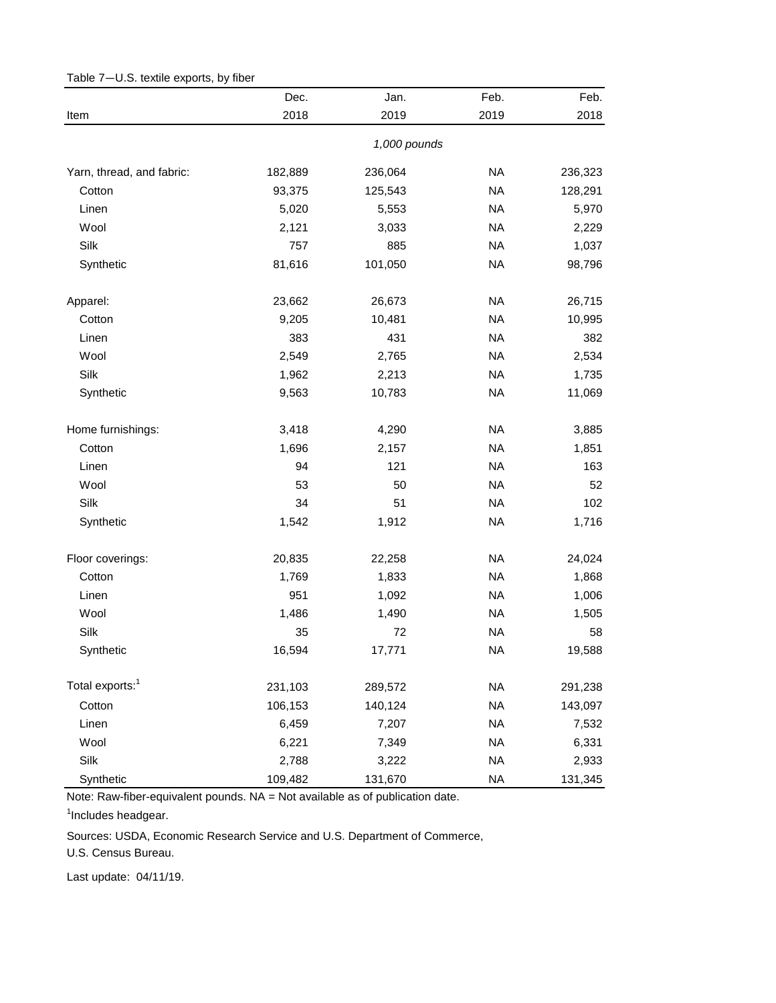|                             | Dec.    | Jan.         | Feb.      | Feb.    |
|-----------------------------|---------|--------------|-----------|---------|
| Item                        | 2018    | 2019         | 2019      | 2018    |
|                             |         | 1,000 pounds |           |         |
| Yarn, thread, and fabric:   | 182,889 | 236,064      | <b>NA</b> | 236,323 |
| Cotton                      | 93,375  | 125,543      | <b>NA</b> | 128,291 |
| Linen                       | 5,020   | 5,553        | <b>NA</b> | 5,970   |
| Wool                        | 2,121   | 3,033        | <b>NA</b> | 2,229   |
| Silk                        | 757     | 885          | <b>NA</b> | 1,037   |
| Synthetic                   | 81,616  | 101,050      | <b>NA</b> | 98,796  |
| Apparel:                    | 23,662  | 26,673       | <b>NA</b> | 26,715  |
| Cotton                      | 9,205   | 10,481       | <b>NA</b> | 10,995  |
| Linen                       | 383     | 431          | <b>NA</b> | 382     |
| Wool                        | 2,549   | 2,765        | <b>NA</b> | 2,534   |
| Silk                        | 1,962   | 2,213        | <b>NA</b> | 1,735   |
| Synthetic                   | 9,563   | 10,783       | <b>NA</b> | 11,069  |
| Home furnishings:           | 3,418   | 4,290        | <b>NA</b> | 3,885   |
| Cotton                      | 1,696   | 2,157        | <b>NA</b> | 1,851   |
| Linen                       | 94      | 121          | <b>NA</b> | 163     |
| Wool                        | 53      | 50           | <b>NA</b> | 52      |
| Silk                        | 34      | 51           | <b>NA</b> | 102     |
| Synthetic                   | 1,542   | 1,912        | <b>NA</b> | 1,716   |
| Floor coverings:            | 20,835  | 22,258       | <b>NA</b> | 24,024  |
| Cotton                      | 1,769   | 1,833        | <b>NA</b> | 1,868   |
| Linen                       | 951     | 1,092        | <b>NA</b> | 1,006   |
| Wool                        | 1,486   | 1,490        | <b>NA</b> | 1,505   |
| Silk                        | 35      | 72           | <b>NA</b> | 58      |
| Synthetic                   | 16,594  | 17,771       | <b>NA</b> | 19,588  |
| Total exports: <sup>1</sup> | 231,103 | 289,572      | <b>NA</b> | 291,238 |
| Cotton                      | 106,153 | 140,124      | <b>NA</b> | 143,097 |
| Linen                       | 6,459   | 7,207        | <b>NA</b> | 7,532   |
| Wool                        | 6,221   | 7,349        | <b>NA</b> | 6,331   |
| Silk                        | 2,788   | 3,222        | <b>NA</b> | 2,933   |
| Synthetic                   | 109,482 | 131,670      | <b>NA</b> | 131,345 |

<span id="page-7-0"></span>Table 7—U.S. textile exports, by fiber

<sup>1</sup>Includes headgear.

Sources: USDA, Economic Research Service and U.S. Department of Commerce,

U.S. Census Bureau.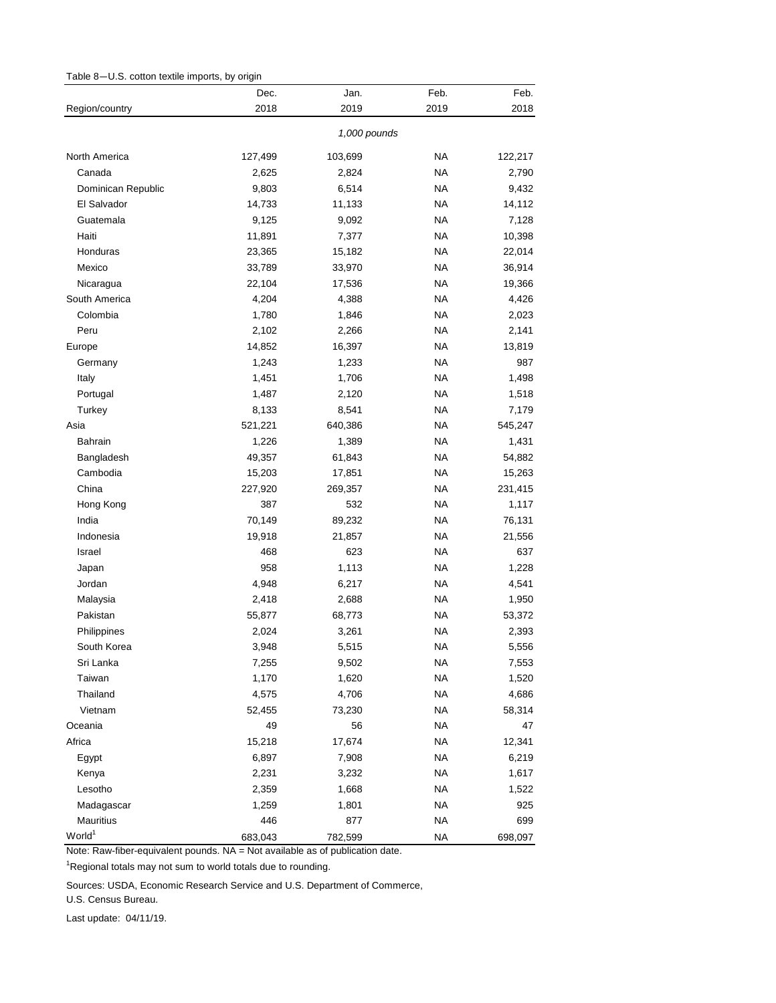<span id="page-8-0"></span>

| Table 8-U.S. cotton textile imports, by origin |  |  |  |  |  |
|------------------------------------------------|--|--|--|--|--|
|------------------------------------------------|--|--|--|--|--|

|                    | Dec.    | Jan.         | Feb.      | Feb.    |
|--------------------|---------|--------------|-----------|---------|
| Region/country     | 2018    | 2019         | 2019      | 2018    |
|                    |         | 1,000 pounds |           |         |
| North America      | 127,499 | 103,699      | <b>NA</b> | 122,217 |
| Canada             | 2,625   | 2,824        | <b>NA</b> | 2,790   |
| Dominican Republic | 9,803   | 6,514        | <b>NA</b> | 9,432   |
| El Salvador        | 14,733  | 11,133       | <b>NA</b> | 14,112  |
| Guatemala          | 9,125   | 9,092        | <b>NA</b> | 7,128   |
| Haiti              | 11,891  | 7,377        | <b>NA</b> | 10,398  |
| Honduras           | 23,365  | 15,182       | <b>NA</b> | 22,014  |
| Mexico             | 33,789  | 33,970       | <b>NA</b> | 36,914  |
| Nicaragua          | 22,104  | 17,536       | <b>NA</b> | 19,366  |
| South America      | 4,204   | 4,388        | <b>NA</b> | 4,426   |
| Colombia           | 1,780   | 1,846        | <b>NA</b> | 2,023   |
| Peru               | 2,102   | 2,266        | <b>NA</b> | 2,141   |
| Europe             | 14,852  | 16,397       | <b>NA</b> | 13,819  |
| Germany            | 1,243   | 1,233        | <b>NA</b> | 987     |
| Italy              | 1,451   | 1,706        | <b>NA</b> | 1,498   |
| Portugal           | 1,487   | 2,120        | <b>NA</b> | 1,518   |
| Turkey             | 8,133   | 8,541        | <b>NA</b> | 7,179   |
| Asia               | 521,221 | 640,386      | <b>NA</b> | 545,247 |
| <b>Bahrain</b>     | 1,226   | 1,389        | <b>NA</b> | 1,431   |
| Bangladesh         | 49,357  | 61,843       | <b>NA</b> | 54,882  |
| Cambodia           | 15,203  | 17,851       | <b>NA</b> | 15,263  |
| China              | 227,920 | 269,357      | <b>NA</b> | 231,415 |
| Hong Kong          | 387     | 532          | <b>NA</b> | 1,117   |
| India              | 70,149  | 89,232       | <b>NA</b> | 76,131  |
| Indonesia          | 19,918  | 21,857       | <b>NA</b> | 21,556  |
| Israel             | 468     | 623          | <b>NA</b> | 637     |
| Japan              | 958     | 1,113        | <b>NA</b> | 1,228   |
| Jordan             | 4,948   | 6,217        | <b>NA</b> | 4,541   |
| Malaysia           | 2,418   | 2,688        | <b>NA</b> | 1,950   |
| Pakistan           | 55,877  | 68,773       | <b>NA</b> | 53,372  |
| Philippines        | 2,024   | 3,261        | <b>NA</b> | 2,393   |
| South Korea        | 3,948   | 5,515        | <b>NA</b> | 5,556   |
| Sri Lanka          | 7,255   | 9,502        | <b>NA</b> | 7,553   |
| Taiwan             | 1,170   | 1,620        | <b>NA</b> | 1,520   |
| Thailand           | 4,575   | 4,706        | <b>NA</b> | 4,686   |
| Vietnam            | 52,455  | 73,230       | <b>NA</b> | 58,314  |
| Oceania            | 49      | 56           | <b>NA</b> | 47      |
| Africa             | 15,218  | 17,674       | <b>NA</b> | 12,341  |
| Egypt              | 6,897   | 7,908        | <b>NA</b> | 6,219   |
| Kenya              | 2,231   | 3,232        | <b>NA</b> | 1,617   |
| Lesotho            | 2,359   | 1,668        | <b>NA</b> | 1,522   |
| Madagascar         | 1,259   | 1,801        | <b>NA</b> | 925     |
| Mauritius          | 446     | 877          | <b>NA</b> | 699     |
| World <sup>1</sup> | 683,043 | 782,599      | <b>NA</b> | 698,097 |

<sup>1</sup>Regional totals may not sum to world totals due to rounding.

Sources: USDA, Economic Research Service and U.S. Department of Commerce,

U.S. Census Bureau.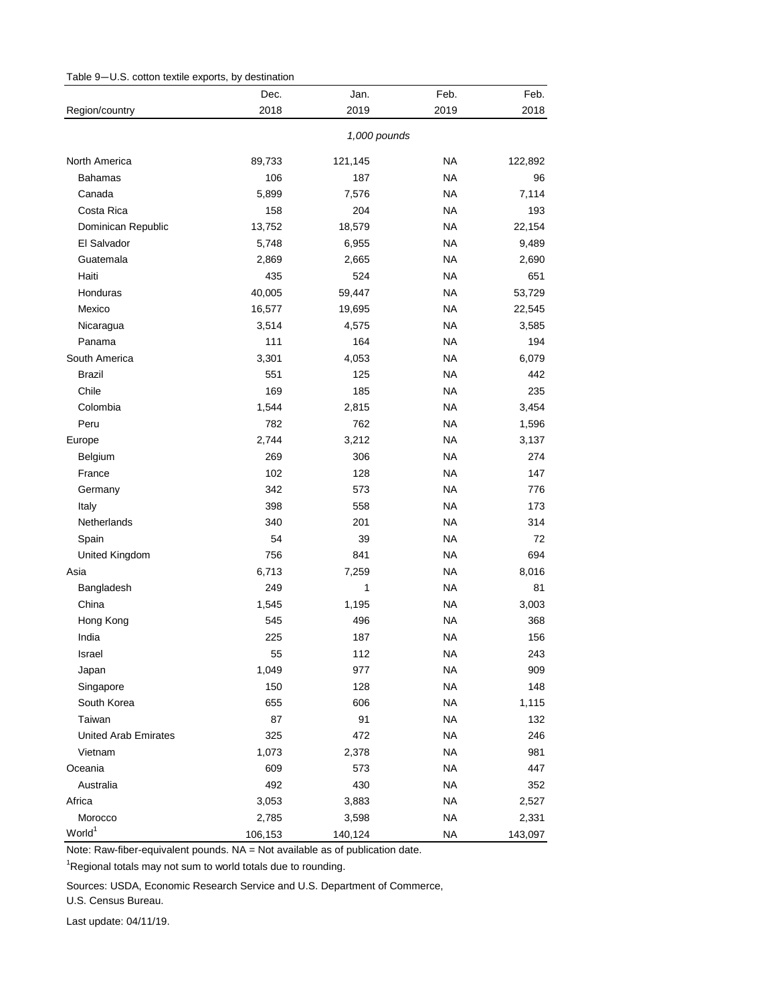<span id="page-9-0"></span>

| 2018<br>Region/country<br>2019<br>2019<br>2018<br>1,000 pounds<br><b>NA</b><br>North America<br>89,733<br>121,145<br>122,892<br>106<br>187<br><b>NA</b><br><b>Bahamas</b><br>96<br><b>NA</b><br>7,114<br>Canada<br>5,899<br>7,576<br>Costa Rica<br>158<br>204<br><b>NA</b><br>193<br><b>NA</b><br>22,154<br>Dominican Republic<br>13,752<br>18,579<br>El Salvador<br><b>NA</b><br>9,489<br>5,748<br>6,955<br>Guatemala<br><b>NA</b><br>2,869<br>2,665<br>2,690<br>435<br><b>NA</b><br>651<br>Haiti<br>524<br>Honduras<br><b>NA</b><br>53,729<br>40,005<br>59,447<br><b>NA</b><br>Mexico<br>16,577<br>19,695<br>22,545<br><b>NA</b><br>Nicaragua<br>3,514<br>4,575<br>3,585<br>Panama<br>111<br><b>NA</b><br>164<br>194<br>South America<br><b>NA</b><br>3,301<br>4,053<br>6,079<br><b>Brazil</b><br>551<br>125<br><b>NA</b><br>442<br>Chile<br>169<br><b>NA</b><br>185<br>235<br>Colombia<br>1,544<br><b>NA</b><br>3,454<br>2,815<br>782<br>762<br><b>NA</b><br>Peru<br>1,596<br>3,212<br><b>NA</b><br>2,744<br>3,137<br>Europe<br>269<br>306<br><b>NA</b><br>Belgium<br>274<br>102<br><b>NA</b><br>France<br>128<br>147<br>342<br><b>NA</b><br>Germany<br>573<br>776<br>398<br><b>NA</b><br>Italy<br>558<br>173<br>Netherlands<br>340<br><b>NA</b><br>201<br>314<br>54<br>39<br><b>NA</b><br>72<br>Spain<br>756<br><b>NA</b><br>United Kingdom<br>841<br>694<br>6,713<br><b>NA</b><br>8,016<br>Asia<br>7,259<br><b>NA</b><br>81<br>249<br>1<br>Bangladesh<br>China<br><b>NA</b><br>1,545<br>1,195<br>3,003<br>Hong Kong<br>545<br>496<br><b>NA</b><br>368<br>India<br>225<br><b>NA</b><br>187<br>156<br>Israel<br>55<br>112<br><b>NA</b><br>243<br><b>NA</b><br>Japan<br>1,049<br>977<br>909<br>Singapore<br>150<br><b>NA</b><br>128<br>148<br>South Korea<br>655<br>606<br><b>NA</b><br>1,115<br>Taiwan<br>87<br>91<br><b>NA</b><br>132<br><b>United Arab Emirates</b><br>325<br>472<br><b>NA</b><br>246<br><b>NA</b><br>Vietnam<br>1,073<br>2,378<br>981<br>Oceania<br>609<br><b>NA</b><br>447<br>573 | Dec. | Jan. | Feb. | Feb. |
|----------------------------------------------------------------------------------------------------------------------------------------------------------------------------------------------------------------------------------------------------------------------------------------------------------------------------------------------------------------------------------------------------------------------------------------------------------------------------------------------------------------------------------------------------------------------------------------------------------------------------------------------------------------------------------------------------------------------------------------------------------------------------------------------------------------------------------------------------------------------------------------------------------------------------------------------------------------------------------------------------------------------------------------------------------------------------------------------------------------------------------------------------------------------------------------------------------------------------------------------------------------------------------------------------------------------------------------------------------------------------------------------------------------------------------------------------------------------------------------------------------------------------------------------------------------------------------------------------------------------------------------------------------------------------------------------------------------------------------------------------------------------------------------------------------------------------------------------------------------------------------------------------------------------------------------------------------------------------------------------------------|------|------|------|------|
|                                                                                                                                                                                                                                                                                                                                                                                                                                                                                                                                                                                                                                                                                                                                                                                                                                                                                                                                                                                                                                                                                                                                                                                                                                                                                                                                                                                                                                                                                                                                                                                                                                                                                                                                                                                                                                                                                                                                                                                                          |      |      |      |      |
|                                                                                                                                                                                                                                                                                                                                                                                                                                                                                                                                                                                                                                                                                                                                                                                                                                                                                                                                                                                                                                                                                                                                                                                                                                                                                                                                                                                                                                                                                                                                                                                                                                                                                                                                                                                                                                                                                                                                                                                                          |      |      |      |      |
|                                                                                                                                                                                                                                                                                                                                                                                                                                                                                                                                                                                                                                                                                                                                                                                                                                                                                                                                                                                                                                                                                                                                                                                                                                                                                                                                                                                                                                                                                                                                                                                                                                                                                                                                                                                                                                                                                                                                                                                                          |      |      |      |      |
|                                                                                                                                                                                                                                                                                                                                                                                                                                                                                                                                                                                                                                                                                                                                                                                                                                                                                                                                                                                                                                                                                                                                                                                                                                                                                                                                                                                                                                                                                                                                                                                                                                                                                                                                                                                                                                                                                                                                                                                                          |      |      |      |      |
|                                                                                                                                                                                                                                                                                                                                                                                                                                                                                                                                                                                                                                                                                                                                                                                                                                                                                                                                                                                                                                                                                                                                                                                                                                                                                                                                                                                                                                                                                                                                                                                                                                                                                                                                                                                                                                                                                                                                                                                                          |      |      |      |      |
|                                                                                                                                                                                                                                                                                                                                                                                                                                                                                                                                                                                                                                                                                                                                                                                                                                                                                                                                                                                                                                                                                                                                                                                                                                                                                                                                                                                                                                                                                                                                                                                                                                                                                                                                                                                                                                                                                                                                                                                                          |      |      |      |      |
|                                                                                                                                                                                                                                                                                                                                                                                                                                                                                                                                                                                                                                                                                                                                                                                                                                                                                                                                                                                                                                                                                                                                                                                                                                                                                                                                                                                                                                                                                                                                                                                                                                                                                                                                                                                                                                                                                                                                                                                                          |      |      |      |      |
|                                                                                                                                                                                                                                                                                                                                                                                                                                                                                                                                                                                                                                                                                                                                                                                                                                                                                                                                                                                                                                                                                                                                                                                                                                                                                                                                                                                                                                                                                                                                                                                                                                                                                                                                                                                                                                                                                                                                                                                                          |      |      |      |      |
|                                                                                                                                                                                                                                                                                                                                                                                                                                                                                                                                                                                                                                                                                                                                                                                                                                                                                                                                                                                                                                                                                                                                                                                                                                                                                                                                                                                                                                                                                                                                                                                                                                                                                                                                                                                                                                                                                                                                                                                                          |      |      |      |      |
|                                                                                                                                                                                                                                                                                                                                                                                                                                                                                                                                                                                                                                                                                                                                                                                                                                                                                                                                                                                                                                                                                                                                                                                                                                                                                                                                                                                                                                                                                                                                                                                                                                                                                                                                                                                                                                                                                                                                                                                                          |      |      |      |      |
|                                                                                                                                                                                                                                                                                                                                                                                                                                                                                                                                                                                                                                                                                                                                                                                                                                                                                                                                                                                                                                                                                                                                                                                                                                                                                                                                                                                                                                                                                                                                                                                                                                                                                                                                                                                                                                                                                                                                                                                                          |      |      |      |      |
|                                                                                                                                                                                                                                                                                                                                                                                                                                                                                                                                                                                                                                                                                                                                                                                                                                                                                                                                                                                                                                                                                                                                                                                                                                                                                                                                                                                                                                                                                                                                                                                                                                                                                                                                                                                                                                                                                                                                                                                                          |      |      |      |      |
|                                                                                                                                                                                                                                                                                                                                                                                                                                                                                                                                                                                                                                                                                                                                                                                                                                                                                                                                                                                                                                                                                                                                                                                                                                                                                                                                                                                                                                                                                                                                                                                                                                                                                                                                                                                                                                                                                                                                                                                                          |      |      |      |      |
|                                                                                                                                                                                                                                                                                                                                                                                                                                                                                                                                                                                                                                                                                                                                                                                                                                                                                                                                                                                                                                                                                                                                                                                                                                                                                                                                                                                                                                                                                                                                                                                                                                                                                                                                                                                                                                                                                                                                                                                                          |      |      |      |      |
|                                                                                                                                                                                                                                                                                                                                                                                                                                                                                                                                                                                                                                                                                                                                                                                                                                                                                                                                                                                                                                                                                                                                                                                                                                                                                                                                                                                                                                                                                                                                                                                                                                                                                                                                                                                                                                                                                                                                                                                                          |      |      |      |      |
|                                                                                                                                                                                                                                                                                                                                                                                                                                                                                                                                                                                                                                                                                                                                                                                                                                                                                                                                                                                                                                                                                                                                                                                                                                                                                                                                                                                                                                                                                                                                                                                                                                                                                                                                                                                                                                                                                                                                                                                                          |      |      |      |      |
|                                                                                                                                                                                                                                                                                                                                                                                                                                                                                                                                                                                                                                                                                                                                                                                                                                                                                                                                                                                                                                                                                                                                                                                                                                                                                                                                                                                                                                                                                                                                                                                                                                                                                                                                                                                                                                                                                                                                                                                                          |      |      |      |      |
|                                                                                                                                                                                                                                                                                                                                                                                                                                                                                                                                                                                                                                                                                                                                                                                                                                                                                                                                                                                                                                                                                                                                                                                                                                                                                                                                                                                                                                                                                                                                                                                                                                                                                                                                                                                                                                                                                                                                                                                                          |      |      |      |      |
|                                                                                                                                                                                                                                                                                                                                                                                                                                                                                                                                                                                                                                                                                                                                                                                                                                                                                                                                                                                                                                                                                                                                                                                                                                                                                                                                                                                                                                                                                                                                                                                                                                                                                                                                                                                                                                                                                                                                                                                                          |      |      |      |      |
|                                                                                                                                                                                                                                                                                                                                                                                                                                                                                                                                                                                                                                                                                                                                                                                                                                                                                                                                                                                                                                                                                                                                                                                                                                                                                                                                                                                                                                                                                                                                                                                                                                                                                                                                                                                                                                                                                                                                                                                                          |      |      |      |      |
|                                                                                                                                                                                                                                                                                                                                                                                                                                                                                                                                                                                                                                                                                                                                                                                                                                                                                                                                                                                                                                                                                                                                                                                                                                                                                                                                                                                                                                                                                                                                                                                                                                                                                                                                                                                                                                                                                                                                                                                                          |      |      |      |      |
|                                                                                                                                                                                                                                                                                                                                                                                                                                                                                                                                                                                                                                                                                                                                                                                                                                                                                                                                                                                                                                                                                                                                                                                                                                                                                                                                                                                                                                                                                                                                                                                                                                                                                                                                                                                                                                                                                                                                                                                                          |      |      |      |      |
|                                                                                                                                                                                                                                                                                                                                                                                                                                                                                                                                                                                                                                                                                                                                                                                                                                                                                                                                                                                                                                                                                                                                                                                                                                                                                                                                                                                                                                                                                                                                                                                                                                                                                                                                                                                                                                                                                                                                                                                                          |      |      |      |      |
|                                                                                                                                                                                                                                                                                                                                                                                                                                                                                                                                                                                                                                                                                                                                                                                                                                                                                                                                                                                                                                                                                                                                                                                                                                                                                                                                                                                                                                                                                                                                                                                                                                                                                                                                                                                                                                                                                                                                                                                                          |      |      |      |      |
|                                                                                                                                                                                                                                                                                                                                                                                                                                                                                                                                                                                                                                                                                                                                                                                                                                                                                                                                                                                                                                                                                                                                                                                                                                                                                                                                                                                                                                                                                                                                                                                                                                                                                                                                                                                                                                                                                                                                                                                                          |      |      |      |      |
|                                                                                                                                                                                                                                                                                                                                                                                                                                                                                                                                                                                                                                                                                                                                                                                                                                                                                                                                                                                                                                                                                                                                                                                                                                                                                                                                                                                                                                                                                                                                                                                                                                                                                                                                                                                                                                                                                                                                                                                                          |      |      |      |      |
|                                                                                                                                                                                                                                                                                                                                                                                                                                                                                                                                                                                                                                                                                                                                                                                                                                                                                                                                                                                                                                                                                                                                                                                                                                                                                                                                                                                                                                                                                                                                                                                                                                                                                                                                                                                                                                                                                                                                                                                                          |      |      |      |      |
|                                                                                                                                                                                                                                                                                                                                                                                                                                                                                                                                                                                                                                                                                                                                                                                                                                                                                                                                                                                                                                                                                                                                                                                                                                                                                                                                                                                                                                                                                                                                                                                                                                                                                                                                                                                                                                                                                                                                                                                                          |      |      |      |      |
|                                                                                                                                                                                                                                                                                                                                                                                                                                                                                                                                                                                                                                                                                                                                                                                                                                                                                                                                                                                                                                                                                                                                                                                                                                                                                                                                                                                                                                                                                                                                                                                                                                                                                                                                                                                                                                                                                                                                                                                                          |      |      |      |      |
|                                                                                                                                                                                                                                                                                                                                                                                                                                                                                                                                                                                                                                                                                                                                                                                                                                                                                                                                                                                                                                                                                                                                                                                                                                                                                                                                                                                                                                                                                                                                                                                                                                                                                                                                                                                                                                                                                                                                                                                                          |      |      |      |      |
|                                                                                                                                                                                                                                                                                                                                                                                                                                                                                                                                                                                                                                                                                                                                                                                                                                                                                                                                                                                                                                                                                                                                                                                                                                                                                                                                                                                                                                                                                                                                                                                                                                                                                                                                                                                                                                                                                                                                                                                                          |      |      |      |      |
|                                                                                                                                                                                                                                                                                                                                                                                                                                                                                                                                                                                                                                                                                                                                                                                                                                                                                                                                                                                                                                                                                                                                                                                                                                                                                                                                                                                                                                                                                                                                                                                                                                                                                                                                                                                                                                                                                                                                                                                                          |      |      |      |      |
|                                                                                                                                                                                                                                                                                                                                                                                                                                                                                                                                                                                                                                                                                                                                                                                                                                                                                                                                                                                                                                                                                                                                                                                                                                                                                                                                                                                                                                                                                                                                                                                                                                                                                                                                                                                                                                                                                                                                                                                                          |      |      |      |      |
|                                                                                                                                                                                                                                                                                                                                                                                                                                                                                                                                                                                                                                                                                                                                                                                                                                                                                                                                                                                                                                                                                                                                                                                                                                                                                                                                                                                                                                                                                                                                                                                                                                                                                                                                                                                                                                                                                                                                                                                                          |      |      |      |      |
|                                                                                                                                                                                                                                                                                                                                                                                                                                                                                                                                                                                                                                                                                                                                                                                                                                                                                                                                                                                                                                                                                                                                                                                                                                                                                                                                                                                                                                                                                                                                                                                                                                                                                                                                                                                                                                                                                                                                                                                                          |      |      |      |      |
|                                                                                                                                                                                                                                                                                                                                                                                                                                                                                                                                                                                                                                                                                                                                                                                                                                                                                                                                                                                                                                                                                                                                                                                                                                                                                                                                                                                                                                                                                                                                                                                                                                                                                                                                                                                                                                                                                                                                                                                                          |      |      |      |      |
|                                                                                                                                                                                                                                                                                                                                                                                                                                                                                                                                                                                                                                                                                                                                                                                                                                                                                                                                                                                                                                                                                                                                                                                                                                                                                                                                                                                                                                                                                                                                                                                                                                                                                                                                                                                                                                                                                                                                                                                                          |      |      |      |      |
|                                                                                                                                                                                                                                                                                                                                                                                                                                                                                                                                                                                                                                                                                                                                                                                                                                                                                                                                                                                                                                                                                                                                                                                                                                                                                                                                                                                                                                                                                                                                                                                                                                                                                                                                                                                                                                                                                                                                                                                                          |      |      |      |      |
|                                                                                                                                                                                                                                                                                                                                                                                                                                                                                                                                                                                                                                                                                                                                                                                                                                                                                                                                                                                                                                                                                                                                                                                                                                                                                                                                                                                                                                                                                                                                                                                                                                                                                                                                                                                                                                                                                                                                                                                                          |      |      |      |      |
|                                                                                                                                                                                                                                                                                                                                                                                                                                                                                                                                                                                                                                                                                                                                                                                                                                                                                                                                                                                                                                                                                                                                                                                                                                                                                                                                                                                                                                                                                                                                                                                                                                                                                                                                                                                                                                                                                                                                                                                                          |      |      |      |      |
| Australia<br>492<br>430<br><b>NA</b><br>352                                                                                                                                                                                                                                                                                                                                                                                                                                                                                                                                                                                                                                                                                                                                                                                                                                                                                                                                                                                                                                                                                                                                                                                                                                                                                                                                                                                                                                                                                                                                                                                                                                                                                                                                                                                                                                                                                                                                                              |      |      |      |      |
| <b>NA</b><br>Africa<br>3,053<br>3,883<br>2,527                                                                                                                                                                                                                                                                                                                                                                                                                                                                                                                                                                                                                                                                                                                                                                                                                                                                                                                                                                                                                                                                                                                                                                                                                                                                                                                                                                                                                                                                                                                                                                                                                                                                                                                                                                                                                                                                                                                                                           |      |      |      |      |
| <b>NA</b><br>Morocco<br>2,785<br>3,598<br>2,331                                                                                                                                                                                                                                                                                                                                                                                                                                                                                                                                                                                                                                                                                                                                                                                                                                                                                                                                                                                                                                                                                                                                                                                                                                                                                                                                                                                                                                                                                                                                                                                                                                                                                                                                                                                                                                                                                                                                                          |      |      |      |      |
| World <sup>1</sup><br>106,153<br><b>NA</b><br>140,124<br>143,097                                                                                                                                                                                                                                                                                                                                                                                                                                                                                                                                                                                                                                                                                                                                                                                                                                                                                                                                                                                                                                                                                                                                                                                                                                                                                                                                                                                                                                                                                                                                                                                                                                                                                                                                                                                                                                                                                                                                         |      |      |      |      |

<sup>1</sup>Regional totals may not sum to world totals due to rounding.

Sources: USDA, Economic Research Service and U.S. Department of Commerce,

U.S. Census Bureau.